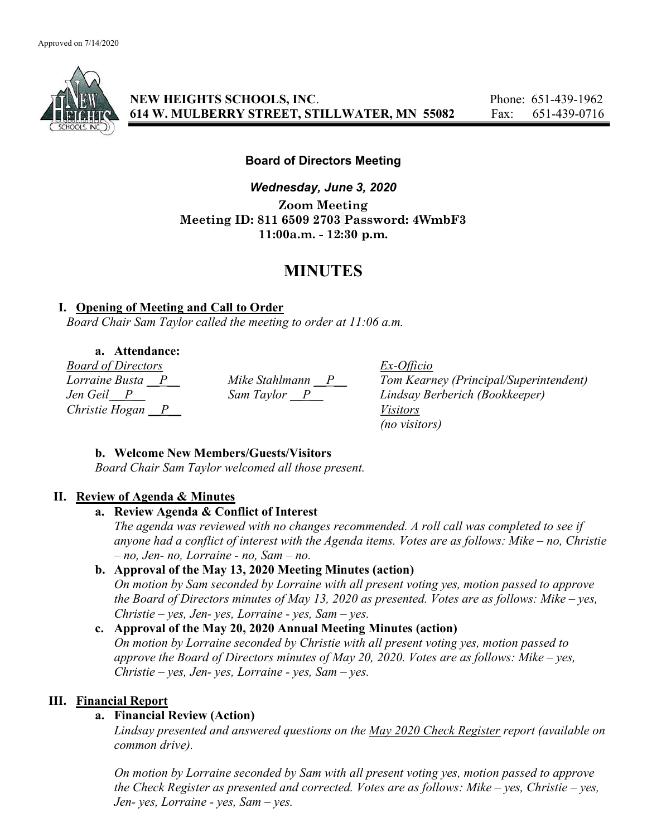

NEW HEIGHTS SCHOOLS, INC. Phone: 651-439-1962 614 W. MULBERRY STREET, STILLWATER, MN 55082 Fax: 651-439-0716

## Board of Directors Meeting

Wednesday, June 3, 2020 Zoom Meeting Meeting ID: 811 6509 2703 Password: 4WmbF3 11:00a.m. - 12:30 p.m.

# MINUTES

### I. Opening of Meeting and Call to Order

Board Chair Sam Taylor called the meeting to order at 11:06 a.m.

a. Attendance:

*Board of Directors*<br> *Lorraine Busta* <u>P</u> *Mike Stahlmann* <u>P</u> *Tom Kearn* Christie Hogan  $\overline{P}$  Visitors

Lorraine Busta  $\frac{P}{P}$  Mike Stahlmann  $\frac{P}{P}$  Tom Kearney (Principal/Superintendent)<br>Jen Geil  $\frac{P}{P}$  Sam Taylor  $\frac{P}{P}$  Lindsay Berberich (Bookkeeper) Lindsay Berberich (Bookkeeper) (no visitors)

## b. Welcome New Members/Guests/Visitors

Board Chair Sam Taylor welcomed all those present.

## II. Review of Agenda & Minutes

### a. Review Agenda & Conflict of Interest

The agenda was reviewed with no changes recommended. A roll call was completed to see if anyone had a conflict of interest with the Agenda items. Votes are as follows: Mike – no, Christie – no, Jen- no, Lorraine - no, Sam – no.

# b. Approval of the May 13, 2020 Meeting Minutes (action)

On motion by Sam seconded by Lorraine with all present voting yes, motion passed to approve the Board of Directors minutes of May 13, 2020 as presented. Votes are as follows: Mike – yes,  $Christie - yes, Jen- yes, Lorraine - yes, Sam- yes.$ 

## c. Approval of the May 20, 2020 Annual Meeting Minutes (action)

On motion by Lorraine seconded by Christie with all present voting yes, motion passed to approve the Board of Directors minutes of May 20, 2020. Votes are as follows: Mike – yes,  $Christie - yes, Jen- yes, Lorraine - yes, Sam- yes.$ 

## III. Financial Report

## a. Financial Review (Action)

Lindsay presented and answered questions on the May 2020 Check Register report (available on common drive).

On motion by Lorraine seconded by Sam with all present voting yes, motion passed to approve the Check Register as presented and corrected. Votes are as follows: Mike – yes, Christie – yes, Jen- yes, Lorraine - yes, Sam  $-$  yes.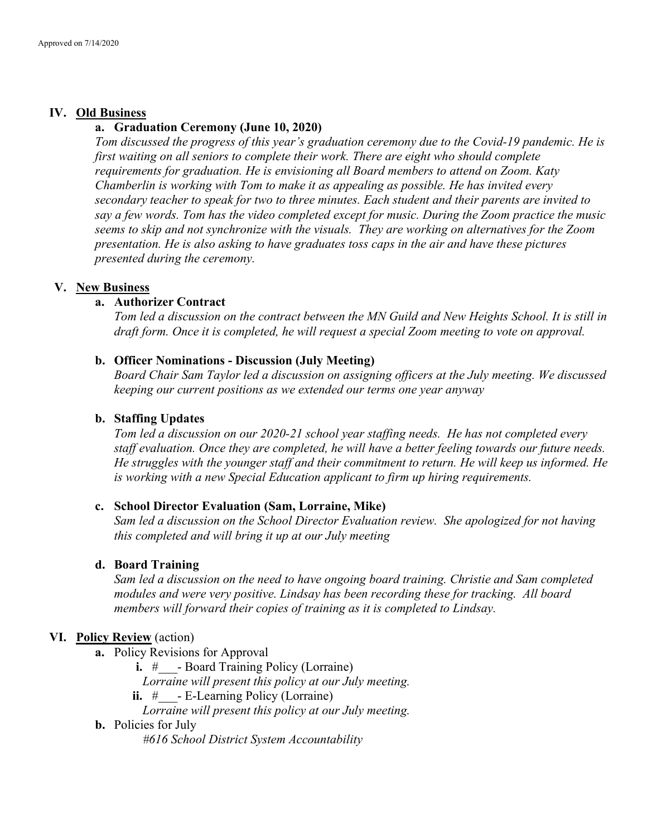#### IV. Old Business

#### a. Graduation Ceremony (June 10, 2020)

Tom discussed the progress of this year's graduation ceremony due to the Covid-19 pandemic. He is first waiting on all seniors to complete their work. There are eight who should complete requirements for graduation. He is envisioning all Board members to attend on Zoom. Katy Chamberlin is working with Tom to make it as appealing as possible. He has invited every secondary teacher to speak for two to three minutes. Each student and their parents are invited to say a few words. Tom has the video completed except for music. During the Zoom practice the music seems to skip and not synchronize with the visuals. They are working on alternatives for the Zoom presentation. He is also asking to have graduates toss caps in the air and have these pictures presented during the ceremony.

#### V. New Business

#### a. Authorizer Contract

Tom led a discussion on the contract between the MN Guild and New Heights School. It is still in draft form. Once it is completed, he will request a special Zoom meeting to vote on approval.

#### b. Officer Nominations - Discussion (July Meeting)

Board Chair Sam Taylor led a discussion on assigning officers at the July meeting. We discussed keeping our current positions as we extended our terms one year anyway

#### b. Staffing Updates

Tom led a discussion on our 2020-21 school year staffing needs. He has not completed every staff evaluation. Once they are completed, he will have a better feeling towards our future needs. He struggles with the younger staff and their commitment to return. He will keep us informed. He is working with a new Special Education applicant to firm up hiring requirements.

#### c. School Director Evaluation (Sam, Lorraine, Mike)

Sam led a discussion on the School Director Evaluation review. She apologized for not having this completed and will bring it up at our July meeting

#### d. Board Training

Sam led a discussion on the need to have ongoing board training. Christie and Sam completed modules and were very positive. Lindsay has been recording these for tracking. All board members will forward their copies of training as it is completed to Lindsay.

#### VI. Policy Review (action)

- a. Policy Revisions for Approval
	- i. # Board Training Policy (Lorraine)

Lorraine will present this policy at our July meeting.

ii.  $\#$  - E-Learning Policy (Lorraine)

Lorraine will present this policy at our July meeting.

#### b. Policies for July

#616 School District System Accountability